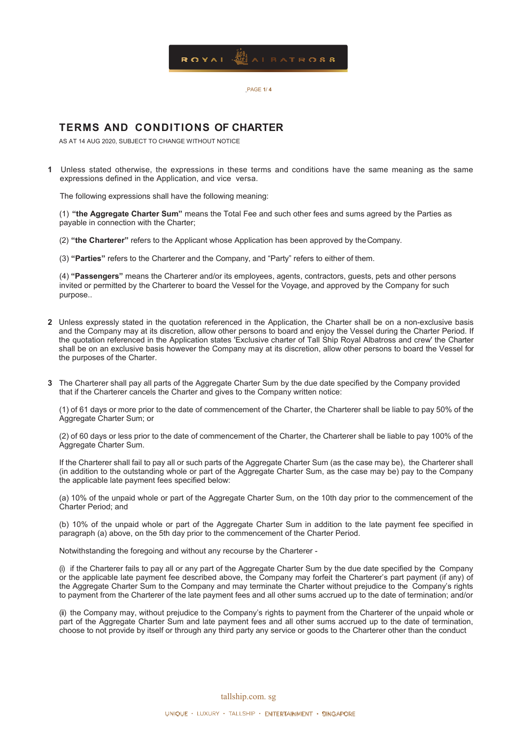

.PAGE **1**/ **4** 

## **TERMS AND CONDITIONS OF CHARTER**

AS AT 14 AUG 2020, SUBJECT TO CHANGE WITHOUT NOTICE

**1** Unless stated otherwise, the expressions in these terms and conditions have the same meaning as the same expressions defined in the Application, and vice versa.

The following expressions shall have the following meaning:

(1) **"the Aggregate Charter Sum"** means the Total Fee and such other fees and sums agreed by the Parties as payable in connection with the Charter;

(2) **"the Charterer"** refers to the Applicant whose Application has been approved by the Company.

(3) **"Parties"** refers to the Charterer and the Company, and "Party" refers to either of them.

(4) **"Passengers"** means the Charterer and/or its employees, agents, contractors, guests, pets and other persons invited or permitted by the Charterer to board the Vessel for the Voyage, and approved by the Company for such purpose..

- **2** Unless expressly stated in the quotation referenced in the Application, the Charter shall be on a non-exclusive basis and the Company may at its discretion, allow other persons to board and enjoy the Vessel during the Charter Period. If the quotation referenced in the Application states 'Exclusive charter of Tall Ship Royal Albatross and crew' the Charter shall be on an exclusive basis however the Company may at its discretion, allow other persons to board the Vessel for the purposes of the Charter.
- **3** The Charterer shall pay all parts of the Aggregate Charter Sum by the due date specified by the Company provided that if the Charterer cancels the Charter and gives to the Company written notice:

(1) of 61 days or more prior to the date of commencement of the Charter, the Charterer shall be liable to pay 50% of the Aggregate Charter Sum; or

(2) of 60 days or less prior to the date of commencement of the Charter, the Charterer shall be liable to pay 100% of the Aggregate Charter Sum.

If the Charterer shall fail to pay all or such parts of the Aggregate Charter Sum (as the case may be), the Charterer shall (in addition to the outstanding whole or part of the Aggregate Charter Sum, as the case may be) pay to the Company the applicable late payment fees specified below:

(a) 10% of the unpaid whole or part of the Aggregate Charter Sum, on the 10th day prior to the commencement of the Charter Period; and

(b) 10% of the unpaid whole or part of the Aggregate Charter Sum in addition to the late payment fee specified in paragraph (a) above, on the 5th day prior to the commencement of the Charter Period.

Notwithstanding the foregoing and without any recourse by the Charterer -

(i) if the Charterer fails to pay all or any part of the Aggregate Charter Sum by the due date specified by the Company or the applicable late payment fee described above, the Company may forfeit the Charterer's part payment (if any) of the Aggregate Charter Sum to the Company and may terminate the Charter without prejudice to the Company's rights to payment from the Charterer of the late payment fees and all other sums accrued up to the date of termination; and/or

(ii) the Company may, without prejudice to the Company's rights to payment from the Charterer of the unpaid whole or part of the Aggregate Charter Sum and late payment fees and all other sums accrued up to the date of termination, choose to not provide by itself or through any third party any service or goods to the Charterer other than the conduct

tallship.com. sg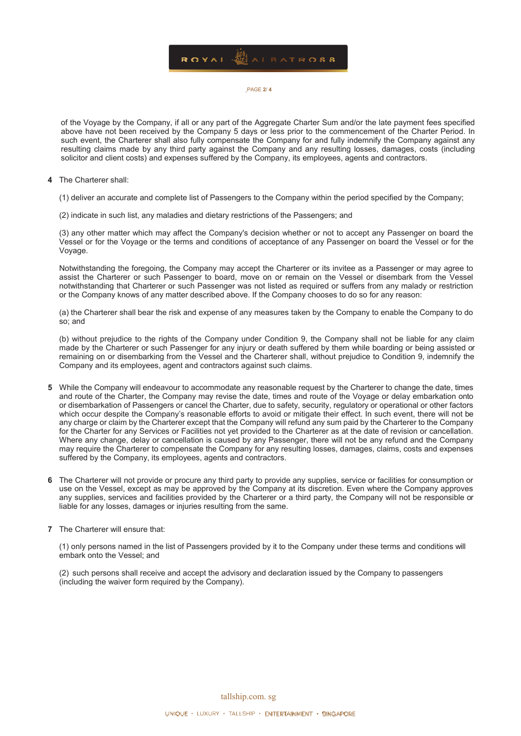

## .PAGE **2**/ **4**

of the Voyage by the Company, if all or any part of the Aggregate Charter Sum and/or the late payment fees specified above have not been received by the Company 5 days or less prior to the commencement of the Charter Period. In such event, the Charterer shall also fully compensate the Company for and fully indemnify the Company against any resulting claims made by any third party against the Company and any resulting losses, damages, costs (including solicitor and client costs) and expenses suffered by the Company, its employees, agents and contractors.

- **4** The Charterer shall:
	- (1) deliver an accurate and complete list of Passengers to the Company within the period specified by the Company;
	- (2) indicate in such list, any maladies and dietary restrictions of the Passengers; and

(3) any other matter which may affect the Company's decision whether or not to accept any Passenger on board the Vessel or for the Voyage or the terms and conditions of acceptance of any Passenger on board the Vessel or for the Voyage.

Notwithstanding the foregoing, the Company may accept the Charterer or its invitee as a Passenger or may agree to assist the Charterer or such Passenger to board, move on or remain on the Vessel or disembark from the Vessel notwithstanding that Charterer or such Passenger was not listed as required or suffers from any malady or restriction or the Company knows of any matter described above. If the Company chooses to do so for any reason:

(a) the Charterer shall bear the risk and expense of any measures taken by the Company to enable the Company to do so; and

(b) without prejudice to the rights of the Company under Condition 9, the Company shall not be liable for any claim made by the Charterer or such Passenger for any injury or death suffered by them while boarding or being assisted or remaining on or disembarking from the Vessel and the Charterer shall, without prejudice to Condition 9, indemnify the Company and its employees, agent and contractors against such claims.

- **5** While the Company will endeavour to accommodate any reasonable request by the Charterer to change the date, times and route of the Charter, the Company may revise the date, times and route of the Voyage or delay embarkation onto or disembarkation of Passengers or cancel the Charter, due to safety, security, regulatory or operational or other factors which occur despite the Company's reasonable efforts to avoid or mitigate their effect. In such event, there will not be any charge or claim by the Charterer except that the Company will refund any sum paid by the Charterer to the Company for the Charter for any Services or Facilities not yet provided to the Charterer as at the date of revision or cancellation. Where any change, delay or cancellation is caused by any Passenger, there will not be any refund and the Company may require the Charterer to compensate the Company for any resulting losses, damages, claims, costs and expenses suffered by the Company, its employees, agents and contractors.
- **6** The Charterer will not provide or procure any third party to provide any supplies, service or facilities for consumption or use on the Vessel, except as may be approved by the Company at its discretion. Even where the Company approves any supplies, services and facilities provided by the Charterer or a third party, the Company will not be responsible or liable for any losses, damages or injuries resulting from the same.
- **7** The Charterer will ensure that:

(1) only persons named in the list of Passengers provided by it to the Company under these terms and conditions will embark onto the Vessel; and

(2) such persons shall receive and accept the advisory and declaration issued by the Company to passengers (including the waiver form required by the Company).

tallship.com. sg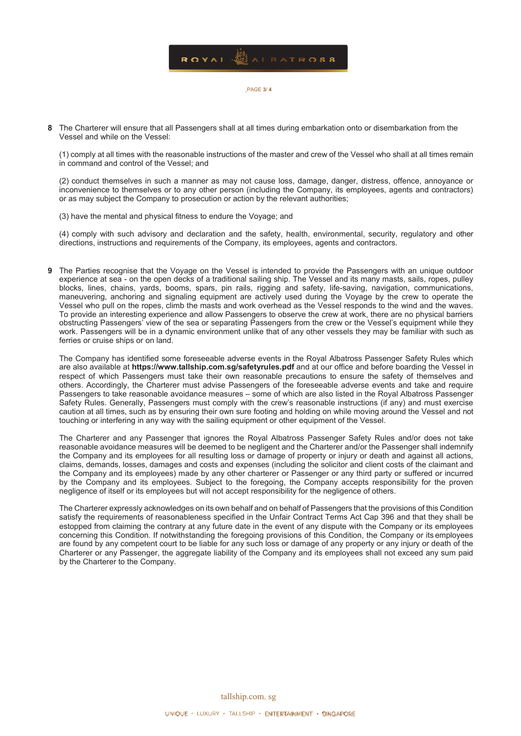

.PAGE **3**/ **4** 

**8** The Charterer will ensure that all Passengers shall at all times during embarkation onto or disembarkation from the Vessel and while on the Vessel:

(1) comply at all times with the reasonable instructions of the master and crew of the Vessel who shall at all times remain in command and control of the Vessel; and

(2) conduct themselves in such a manner as may not cause loss, damage, danger, distress, offence, annoyance or inconvenience to themselves or to any other person (including the Company, its employees, agents and contractors) or as may subject the Company to prosecution or action by the relevant authorities;

(3) have the mental and physical fitness to endure the Voyage; and

(4) comply with such advisory and declaration and the safety, health, environmental, security, regulatory and other directions, instructions and requirements of the Company, its employees, agents and contractors.

**9** The Parties recognise that the Voyage on the Vessel is intended to provide the Passengers with an unique outdoor experience at sea - on the open decks of a traditional sailing ship. The Vessel and its many masts, sails, ropes, pulley blocks, lines, chains, yards, booms, spars, pin rails, rigging and safety, life-saving, navigation, communications, maneuvering, anchoring and signaling equipment are actively used during the Voyage by the crew to operate the Vessel who pull on the ropes, climb the masts and work overhead as the Vessel responds to the wind and the waves. To provide an interesting experience and allow Passengers to observe the crew at work, there are no physical barriers obstructing Passengers' view of the sea or separating Passengers from the crew or the Vessel's equipment while they work. Passengers will be in a dynamic environment unlike that of any other vessels they may be familiar with such as ferries or cruise ships or on land.

The Company has identified some foreseeable adverse events in the Royal Albatross Passenger Safety Rules which are also available at **https://www.tallship.com.sg/safetyrules.pdf** and at our office and before boarding the Vessel in respect of which Passengers must take their own reasonable precautions to ensure the safety of themselves and others. Accordingly, the Charterer must advise Passengers of the foreseeable adverse events and take and require Passengers to take reasonable avoidance measures – some of which are also listed in the Royal Albatross Passenger Safety Rules. Generally, Passengers must comply with the crew's reasonable instructions (if any) and must exercise caution at all times, such as by ensuring their own sure footing and holding on while moving around the Vessel and not touching or interfering in any way with the sailing equipment or other equipment of the Vessel.

The Charterer and any Passenger that ignores the Royal Albatross Passenger Safety Rules and/or does not take reasonable avoidance measures will be deemed to be negligent and the Charterer and/or the Passenger shall indemnify the Company and its employees for all resulting loss or damage of property or injury or death and against all actions, claims, demands, losses, damages and costs and expenses (including the solicitor and client costs of the claimant and the Company and its employees) made by any other charterer or Passenger or any third party or suffered or incurred by the Company and its employees. Subject to the foregoing, the Company accepts responsibility for the proven negligence of itself or its employees but will not accept responsibility for the negligence of others.

The Charterer expressly acknowledges on its own behalf and on behalf of Passengers that the provisions of this Condition satisfy the requirements of reasonableness specified in the Unfair Contract Terms Act Cap 396 and that they shall be estopped from claiming the contrary at any future date in the event of any dispute with the Company or its employees concerning this Condition. If notwithstanding the foregoing provisions of this Condition, the Company or its employees are found by any competent court to be liable for any such loss or damage of any property or any injury or death of the Charterer or any Passenger, the aggregate liability of the Company and its employees shall not exceed any sum paid by the Charterer to the Company.